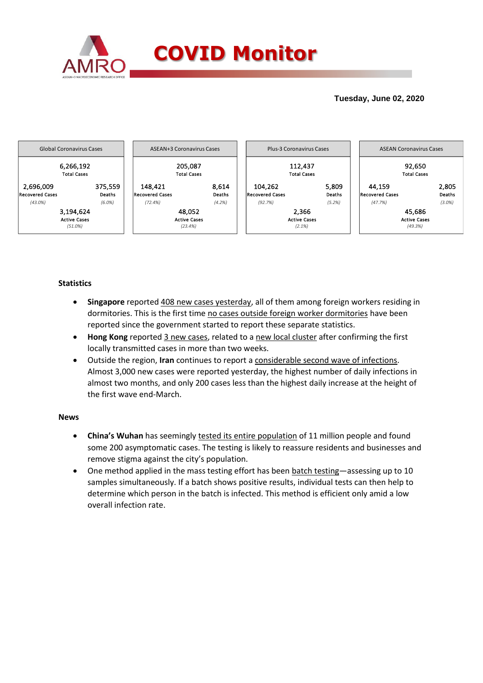

## **Tuesday, June 02, 2020**



### **Statistics**

- **Singapore** reported 408 new cases yesterday, all of them among foreign workers residing in dormitories. This is the first time no cases outside foreign worker dormitories have been reported since the government started to report these separate statistics.
- **Hong Kong** reported 3 new cases, related to a new local cluster after confirming the first locally transmitted cases in more than two weeks.
- Outside the region, **Iran** continues to report a considerable second wave of infections. Almost 3,000 new cases were reported yesterday, the highest number of daily infections in almost two months, and only 200 cases less than the highest daily increase at the height of the first wave end-March.

### **News**

- **China's Wuhan** has seemingly tested its entire population of 11 million people and found some 200 asymptomatic cases. The testing is likely to reassure residents and businesses and remove stigma against the city's population.
- One method applied in the mass testing effort has been batch testing—assessing up to 10 samples simultaneously. If a batch shows positive results, individual tests can then help to determine which person in the batch is infected. This method is efficient only amid a low overall infection rate.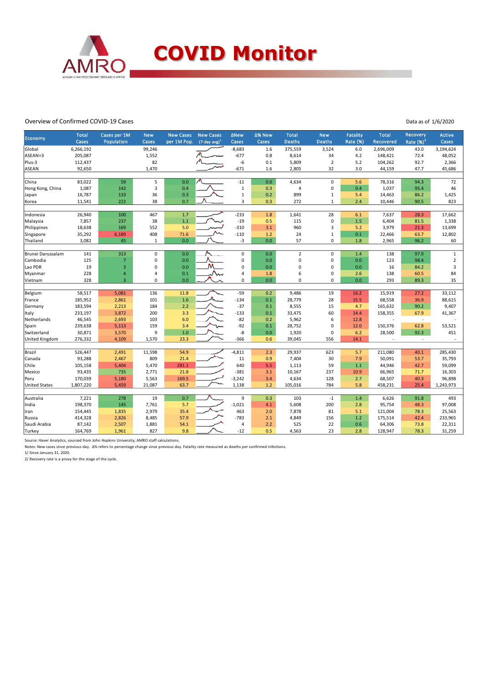

#### Overview of Confirmed COVID-19 Cases

Data as of 1/6/2020

|                      | <b>Total</b> | Cases per 1M   | <b>New</b>              | <b>New Cases</b> | <b>New Cases</b>    | <b>ANew</b>    | ∆% New | <b>Total</b>   | <b>New</b>       | <b>Fatality</b> | <b>Total</b>     | Recovery                 | <b>Active</b>  |
|----------------------|--------------|----------------|-------------------------|------------------|---------------------|----------------|--------|----------------|------------------|-----------------|------------------|--------------------------|----------------|
| Economy              | Cases        | Population     | Cases                   | per 1M Pop.      | $(7$ -day avg $)^1$ | Cases          | Cases  | <b>Deaths</b>  | <b>Deaths</b>    | <b>Rate (%)</b> | <b>Recovered</b> | Rate $(%)2$              | Cases          |
| Global               | 6,266,192    |                | 99,246                  |                  |                     | $-8,683$       | 1.6    | 375,559        | 3,524            | 6.0             | 2,696,009        | 43.0                     | 3,194,624      |
| ASEAN+3              | 205,087      |                | 1,552                   |                  |                     | $-677$         | 0.8    | 8,614          | 34               | 4.2             | 148,421          | 72.4                     | 48,052         |
| Plus-3               | 112,437      |                | 82                      |                  |                     | -6             | 0.1    | 5,809          | $\overline{2}$   | 5.2             | 104,262          | 92.7                     | 2,366          |
| ASEAN                | 92,650       |                | 1,470                   |                  |                     | $-671$         | 1.6    | 2,805          | 32               | 3.0             | 44,159           | 47.7                     | 45,686         |
|                      |              |                |                         |                  |                     |                |        |                |                  |                 |                  |                          |                |
| China                | 83,022       | 59             | 5                       | 0.0              |                     | $-11$          | 0.0    | 4,634          | $\mathsf 0$      | 5.6             | 78,316           | 94.3                     | 72             |
| Hong Kong, China     | 1,087        | 142            | $\overline{\mathbf{3}}$ | 0.4              |                     | $\mathbf{1}$   | 0.3    | $\overline{4}$ | $\mathbf 0$      | 0.4             | 1,037            | 95.4                     | 46             |
| Japan                | 16,787       | 133            | 36                      | 0.3              |                     | $\mathbf{1}$   | 0.2    | 899            | $1\,$            | 5.4             | 14,463           | 86.2                     | 1,425          |
| Korea                | 11,541       | 222            | 38                      | 0.7              |                     | 3              | 0.3    | 272            | $\mathbf{1}$     | 2.4             | 10,446           | 90.5                     | 823            |
|                      |              |                |                         |                  |                     |                |        |                |                  |                 |                  |                          |                |
| Indonesia            | 26,940       | 100            | 467                     | 1.7              |                     | $-233$         | 1.8    | 1,641          | 28               | 6.1             | 7,637            | 28.3                     | 17,662         |
| Malaysia             | 7,857        | 237            | 38                      | 1.1              |                     | $-19$          | 0.5    | 115            | $\mathbf 0$      | 1.5             | 6,404            | 81.5                     | 1,338          |
| Philippines          | 18,638       | 169            | 552                     | 5.0              |                     | $-310$         | 3.1    | 960            | 3                | 5.2             | 3,979            | 21.3                     | 13,699         |
| Singapore            | 35,292       | 6,189          | 408                     | 71.6             |                     | $-110$         | 1.2    | 24             | $\mathbf{1}$     | 0.1             | 22,466           | 63.7                     | 12,802         |
| Thailand             | 3,082        | 45             | 1                       | 0.0              |                     | $-3$           | 0.0    | 57             | $\mathsf 0$      | 1.8             | 2,965            | 96.2                     | 60             |
| Brunei Darussalam    | 141          | 313            | $\mathbf 0$             | 0.0              |                     | $\pmb{0}$      | 0.0    | $\overline{2}$ | $\mathbf 0$      | 1.4             | 138              | 97.9                     | $\mathbf 1$    |
| Cambodia             | 125          | $\overline{7}$ | $\pmb{0}$               | 0.0              |                     | 0              | 0.0    | $\mathbf 0$    | $\mathbf 0$      | 0.0             | 123              | 98.4                     | $\overline{2}$ |
| Lao PDR              | 19           | $\overline{3}$ | $\pmb{0}$               | 0.0              | M                   | O              | 0.0    | $\Omega$       | $\mathbf 0$      | 0.0             | 16               | 84.2                     | 3              |
| Myanmar              | 228          | $\overline{4}$ | $\overline{4}$          | 0.1              | w.                  | $\overline{4}$ | 1.8    | 6              | $\mathbf 0$      | 2.6             | 138              | 60.5                     | 84             |
| Vietnam              | 328          | $\overline{3}$ | $\mathbf 0$             | 0.0              |                     | 0              | 0.0    | $\mathbf 0$    | $\mathbf 0$      | 0.0             | 293              | 89.3                     | 35             |
|                      |              |                |                         |                  |                     |                |        |                |                  |                 |                  |                          |                |
| Belgium              | 58,517       | 5,081          | 136                     | 11.8             |                     | $-59$          | 0.2    | 9,486          | 19               | 16.2            | 15,919           | 27.2                     | 33,112         |
| France               | 185,952      | 2,861          | 101                     | 1.6              |                     | $-134$         | 0.1    | 28,779         | 28               | 15.5            | 68,558           | 36.9                     | 88,615         |
| Germany              | 183,594      | 2,213          | 184                     | 2.2              |                     | $-37$          | 0.1    | 8,555          | 15               | 4.7             | 165,632          | 90.2                     | 9,407          |
| Italy                | 233,197      | 3,872          | 200                     | 3.3              |                     | $-133$         | 0.1    | 33,475         | 60               | 14.4            | 158,355          | 67.9                     | 41,367         |
| Netherlands          | 46,545       | 2,693          | 103                     | 6.0              |                     | $-82$          | 0.2    | 5,962          | $\boldsymbol{6}$ | 12.8            |                  | $\overline{\phantom{a}}$ |                |
| Spain                | 239,638      | 5,113          | 159                     | 3.4              |                     | $-92$          | 0.1    | 28,752         | $\mathbf 0$      | 12.0            | 150,376          | 62.8                     | 53,521         |
| Switzerland          | 30,871       | 3,570          | 9                       | 1.0              |                     | -8             | 0.0    | 1,920          | 0                | 6.2             | 28,500           | 92.3                     | 451            |
| United Kingdom       | 276,332      | 4,109          | 1,570                   | 23.3             |                     | $-366$         | 0.6    | 39,045         | 556              | 14.1            |                  | ÷.                       |                |
|                      |              |                |                         |                  |                     |                |        |                |                  |                 |                  |                          |                |
| Brazil               | 526,447      | 2,491          | 11,598                  | 54.9             |                     | $-4,811$       | 2.3    | 29,937         | 623              | 5.7             | 211,080          | 40.1                     | 285,430        |
| Canada               | 93,288       | 2,467          | 809                     | 21.4             |                     | 11             | 0.9    | 7,404          | 30               | 7.9             | 50,091           | 53.7                     | 35,793         |
| Chile                | 105,158      | 5,404          | 5,470                   | 281.1            |                     | 640            | 5.5    | 1,113          | 59               | 1.1             | 44,946           | 42.7                     | 59,099         |
| Mexico               | 93,435       | 735            | 2,771                   | 21.8             |                     | $-381$         | 3.1    | 10,167         | 237              | 10.9            | 66,965           | 71.7                     | 16,303         |
| Peru                 | 170,039      | 5,180          | 5,563                   | 169.5            |                     | $-3,242$       | 3.4    | 4,634          | 128              | 2.7             | 68,507           | 40.3                     | 96,898         |
| <b>United States</b> | 1,807,220    | 5,459          | 21,087                  | 63.7             |                     | 1,138          | 1.2    | 105,016        | 784              | 5.8             | 458,231          | 25.4                     | 1,243,973      |
| Australia            | 7,221        | 278            | 19                      | 0.7              |                     | 9              | 0.3    | 103            | $-1$             | 1.4             | 6,626            | 91.8                     | 493            |
| India                | 198,370      | 145            | 7,761                   | 5.7              |                     | $-1,021$       | 4.1    | 5,608          | 200              | 2.8             | 95,754           | 48.3                     | 97,008         |
| Iran                 | 154,445      | 1,835          | 2,979                   | 35.4             |                     | 463            | 2.0    | 7,878          | 81               | 5.1             | 121,004          | 78.3                     | 25,563         |
| Russia               | 414,328      | 2,826          | 8,485                   | 57.9             |                     | $-783$         | 2.1    | 4,849          | 156              | 1.2             | 175,514          | 42.4                     | 233,965        |
| Saudi Arabia         | 87,142       | 2,507          | 1,881                   | 54.1             |                     | $\overline{4}$ | 2.2    | 525            | 22               | 0.6             | 64,306           | 73.8                     | 22,311         |
| Turkey               | 164,769      | 1,961          | 827                     | 9.8              |                     | $-12$          | 0.5    | 4,563          | 23               | 2.8             | 128,947          | 78.3                     | 31,259         |

Source: Haver Analytics, sourced from John Hopkins University; AMRO staff calculations.

Notes: New cases since previous day. Δ% refers to percentage change since previous day. Fatality rate measured as deaths per confirmed infections. 1/ Since January 31, 2020.

2/ Recovery rate is a proxy for the stage of the cycle.